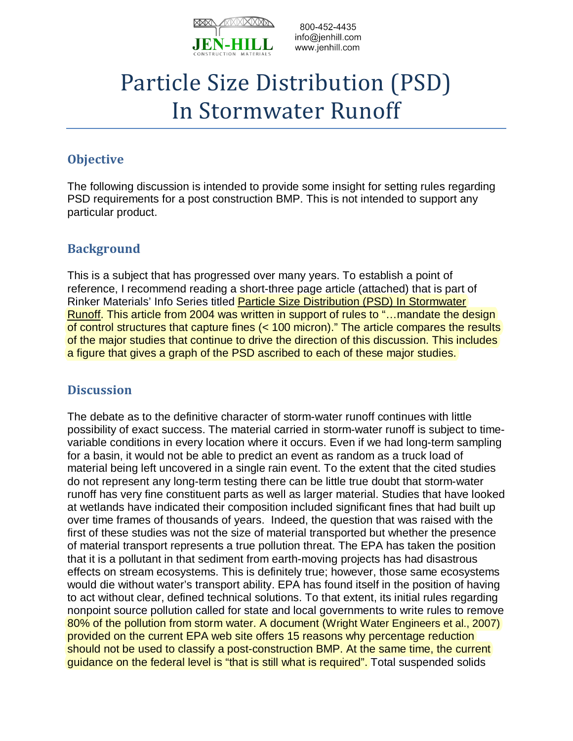

## Particle Size Distribution (PSD) In Stormwater Runoff

## **Objective**

The following discussion is intended to provide some insight for setting rules regarding PSD requirements for a post construction BMP. This is not intended to support any particular product.

## **Background**

This is a subject that has progressed over many years. To establish a point of reference, I recommend reading a short-three page article (attached) that is part of Rinker Materials' Info Series titled **Particle Size Distribution (PSD) In Stormwater** Runoff. This article from 2004 was written in support of rules to "…mandate the design of control structures that capture fines (< 100 micron)." The article compares the results of the major studies that continue to drive the direction of this discussion. This includes a figure that gives a graph of the PSD ascribed to each of these major studies.

## **Discussion**

The debate as to the definitive character of storm-water runoff continues with little possibility of exact success. The material carried in storm-water runoff is subject to timevariable conditions in every location where it occurs. Even if we had long-term sampling for a basin, it would not be able to predict an event as random as a truck load of material being left uncovered in a single rain event. To the extent that the cited studies do not represent any long-term testing there can be little true doubt that storm-water runoff has very fine constituent parts as well as larger material. Studies that have looked at wetlands have indicated their composition included significant fines that had built up over time frames of thousands of years. Indeed, the question that was raised with the first of these studies was not the size of material transported but whether the presence of material transport represents a true pollution threat. The EPA has taken the position that it is a pollutant in that sediment from earth-moving projects has had disastrous effects on stream ecosystems. This is definitely true; however, those same ecosystems would die without water's transport ability. EPA has found itself in the position of having to act without clear, defined technical solutions. To that extent, its initial rules regarding nonpoint source pollution called for state and local governments to write rules to remove 80% of the pollution from storm water. A document (Wright Water Engineers et al., 2007) provided on the current EPA web site offers 15 reasons why percentage reduction should not be used to classify a post-construction BMP. At the same time, the current guidance on the federal level is "that is still what is required". Total suspended solids